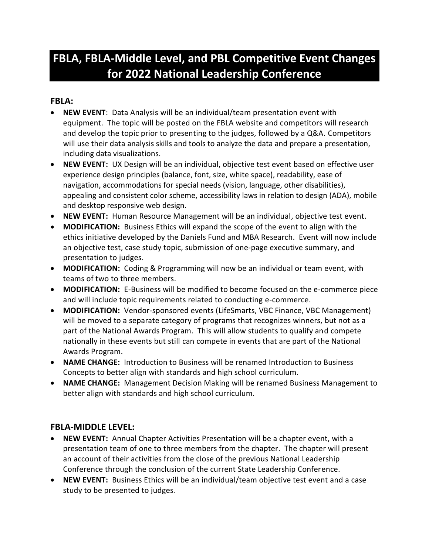## **FBLA, FBLA-Middle Level, and PBL Competitive Event Changes for 2022 National Leadership Conference**

## **FBLA:**

- **NEW EVENT**: Data Analysis will be an individual/team presentation event with equipment. The topic will be posted on the FBLA website and competitors will research and develop the topic prior to presenting to the judges, followed by a Q&A. Competitors will use their data analysis skills and tools to analyze the data and prepare a presentation, including data visualizations.
- **NEW EVENT:** UX Design will be an individual, objective test event based on effective user experience design principles (balance, font, size, white space), readability, ease of navigation, accommodations for special needs (vision, language, other disabilities), appealing and consistent color scheme, accessibility laws in relation to design (ADA), mobile and desktop responsive web design.
- **NEW EVENT:** Human Resource Management will be an individual, objective test event.
- **MODIFICATION:** Business Ethics will expand the scope of the event to align with the ethics initiative developed by the Daniels Fund and MBA Research. Event will now include an objective test, case study topic, submission of one-page executive summary, and presentation to judges.
- **MODIFICATION:** Coding & Programming will now be an individual or team event, with teams of two to three members.
- **MODIFICATION:** E-Business will be modified to become focused on the e-commerce piece and will include topic requirements related to conducting e-commerce.
- **MODIFICATION:** Vendor-sponsored events (LifeSmarts, VBC Finance, VBC Management) will be moved to a separate category of programs that recognizes winners, but not as a part of the National Awards Program. This will allow students to qualify and compete nationally in these events but still can compete in events that are part of the National Awards Program.
- **NAME CHANGE:** Introduction to Business will be renamed Introduction to Business Concepts to better align with standards and high school curriculum.
- **NAME CHANGE:** Management Decision Making will be renamed Business Management to better align with standards and high school curriculum.

## **FBLA-MIDDLE LEVEL:**

- **NEW EVENT:** Annual Chapter Activities Presentation will be a chapter event, with a presentation team of one to three members from the chapter. The chapter will present an account of their activities from the close of the previous National Leadership Conference through the conclusion of the current State Leadership Conference.
- **NEW EVENT:** Business Ethics will be an individual/team objective test event and a case study to be presented to judges.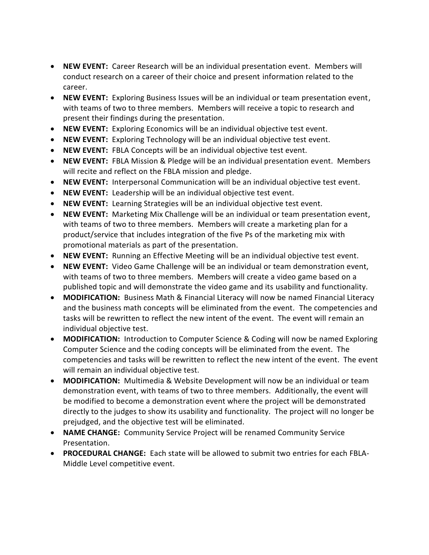- **NEW EVENT:** Career Research will be an individual presentation event. Members will conduct research on a career of their choice and present information related to the career.
- **NEW EVENT:** Exploring Business Issues will be an individual or team presentation event, with teams of two to three members. Members will receive a topic to research and present their findings during the presentation.
- **NEW EVENT:** Exploring Economics will be an individual objective test event.
- **NEW EVENT:** Exploring Technology will be an individual objective test event.
- **NEW EVENT:** FBLA Concepts will be an individual objective test event.
- **NEW EVENT:** FBLA Mission & Pledge will be an individual presentation event. Members will recite and reflect on the FBLA mission and pledge.
- **NEW EVENT:** Interpersonal Communication will be an individual objective test event.
- **NEW EVENT:** Leadership will be an individual objective test event.
- **NEW EVENT:** Learning Strategies will be an individual objective test event.
- **NEW EVENT:** Marketing Mix Challenge will be an individual or team presentation event, with teams of two to three members. Members will create a marketing plan for a product/service that includes integration of the five Ps of the marketing mix with promotional materials as part of the presentation.
- **NEW EVENT:** Running an Effective Meeting will be an individual objective test event.
- **NEW EVENT:** Video Game Challenge will be an individual or team demonstration event, with teams of two to three members. Members will create a video game based on a published topic and will demonstrate the video game and its usability and functionality.
- **MODIFICATION:** Business Math & Financial Literacy will now be named Financial Literacy and the business math concepts will be eliminated from the event. The competencies and tasks will be rewritten to reflect the new intent of the event. The event will remain an individual objective test.
- **MODIFICATION:** Introduction to Computer Science & Coding will now be named Exploring Computer Science and the coding concepts will be eliminated from the event. The competencies and tasks will be rewritten to reflect the new intent of the event. The event will remain an individual objective test.
- **MODIFICATION:** Multimedia & Website Development will now be an individual or team demonstration event, with teams of two to three members. Additionally, the event will be modified to become a demonstration event where the project will be demonstrated directly to the judges to show its usability and functionality. The project will no longer be prejudged, and the objective test will be eliminated.
- **NAME CHANGE:** Community Service Project will be renamed Community Service Presentation.
- **PROCEDURAL CHANGE:** Each state will be allowed to submit two entries for each FBLA-Middle Level competitive event.